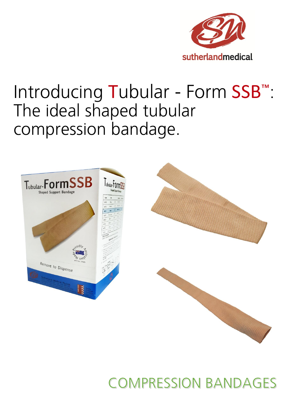

# Introducing Tubular - Form SSB<sup>™</sup>: The ideal shaped tubular compression bandage.







## **COMPRESSION BANDAGES**